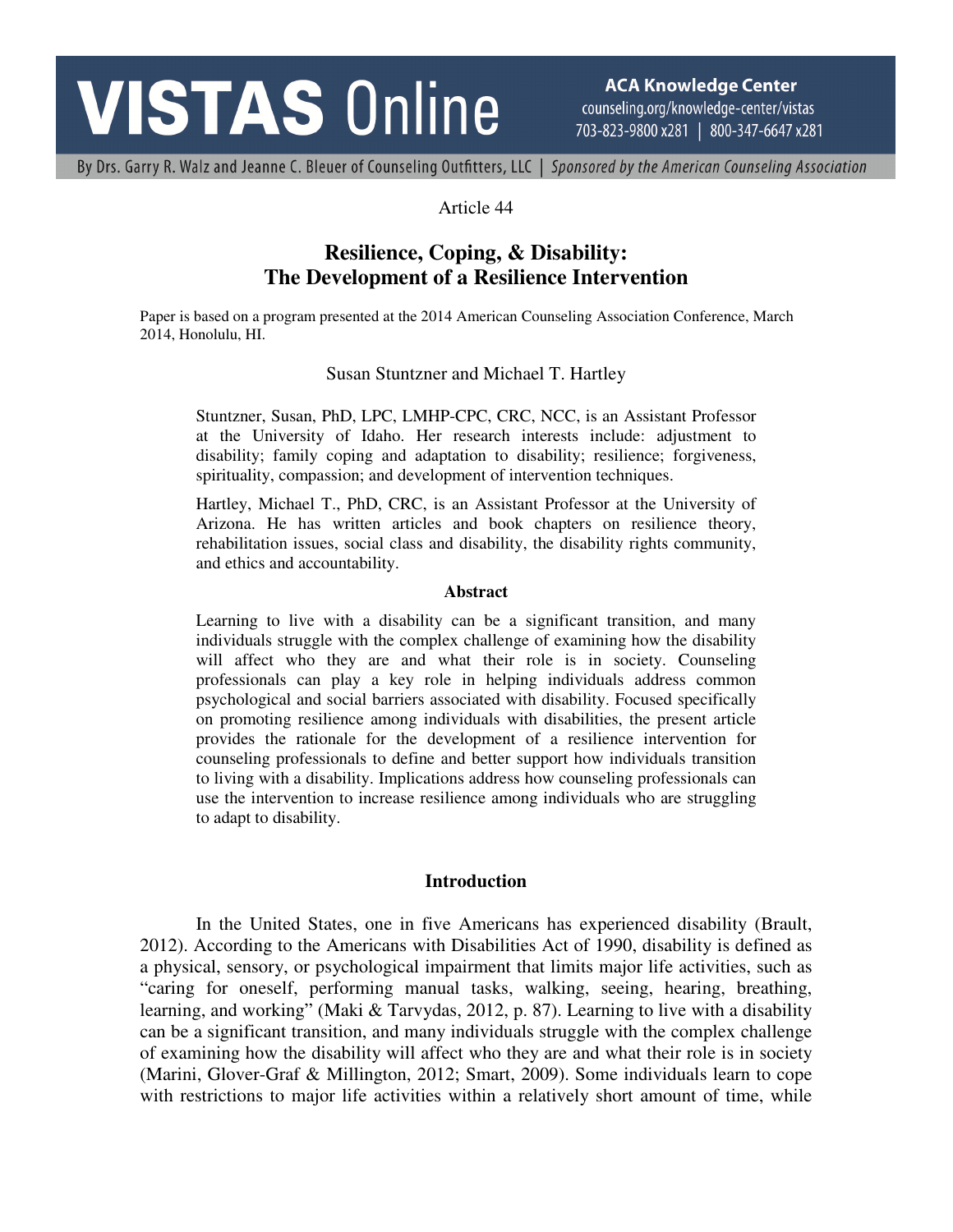# **VISTAS Online**

**ACA Knowledge Center** counseling.org/knowledge-center/vistas 703-823-9800 x281 | 800-347-6647 x281

By Drs. Garry R. Walz and Jeanne C. Bleuer of Counseling Outfitters, LLC | Sponsored by the American Counseling Association

# Article 44

# **Resilience, Coping, & Disability: The Development of a Resilience Intervention**

Paper is based on a program presented at the 2014 American Counseling Association Conference, March 2014, Honolulu, HI.

#### Susan Stuntzner and Michael T. Hartley

Stuntzner, Susan, PhD, LPC, LMHP-CPC, CRC, NCC, is an Assistant Professor at the University of Idaho. Her research interests include: adjustment to disability; family coping and adaptation to disability; resilience; forgiveness, spirituality, compassion; and development of intervention techniques.

Hartley, Michael T., PhD, CRC, is an Assistant Professor at the University of Arizona. He has written articles and book chapters on resilience theory, rehabilitation issues, social class and disability, the disability rights community, and ethics and accountability.

#### **Abstract**

Learning to live with a disability can be a significant transition, and many individuals struggle with the complex challenge of examining how the disability will affect who they are and what their role is in society. Counseling professionals can play a key role in helping individuals address common psychological and social barriers associated with disability. Focused specifically on promoting resilience among individuals with disabilities, the present article provides the rationale for the development of a resilience intervention for counseling professionals to define and better support how individuals transition to living with a disability. Implications address how counseling professionals can use the intervention to increase resilience among individuals who are struggling to adapt to disability.

#### **Introduction**

In the United States, one in five Americans has experienced disability (Brault, 2012). According to the Americans with Disabilities Act of 1990, disability is defined as a physical, sensory, or psychological impairment that limits major life activities, such as "caring for oneself, performing manual tasks, walking, seeing, hearing, breathing, learning, and working" (Maki & Tarvydas, 2012, p. 87). Learning to live with a disability can be a significant transition, and many individuals struggle with the complex challenge of examining how the disability will affect who they are and what their role is in society (Marini, Glover-Graf & Millington, 2012; Smart, 2009). Some individuals learn to cope with restrictions to major life activities within a relatively short amount of time, while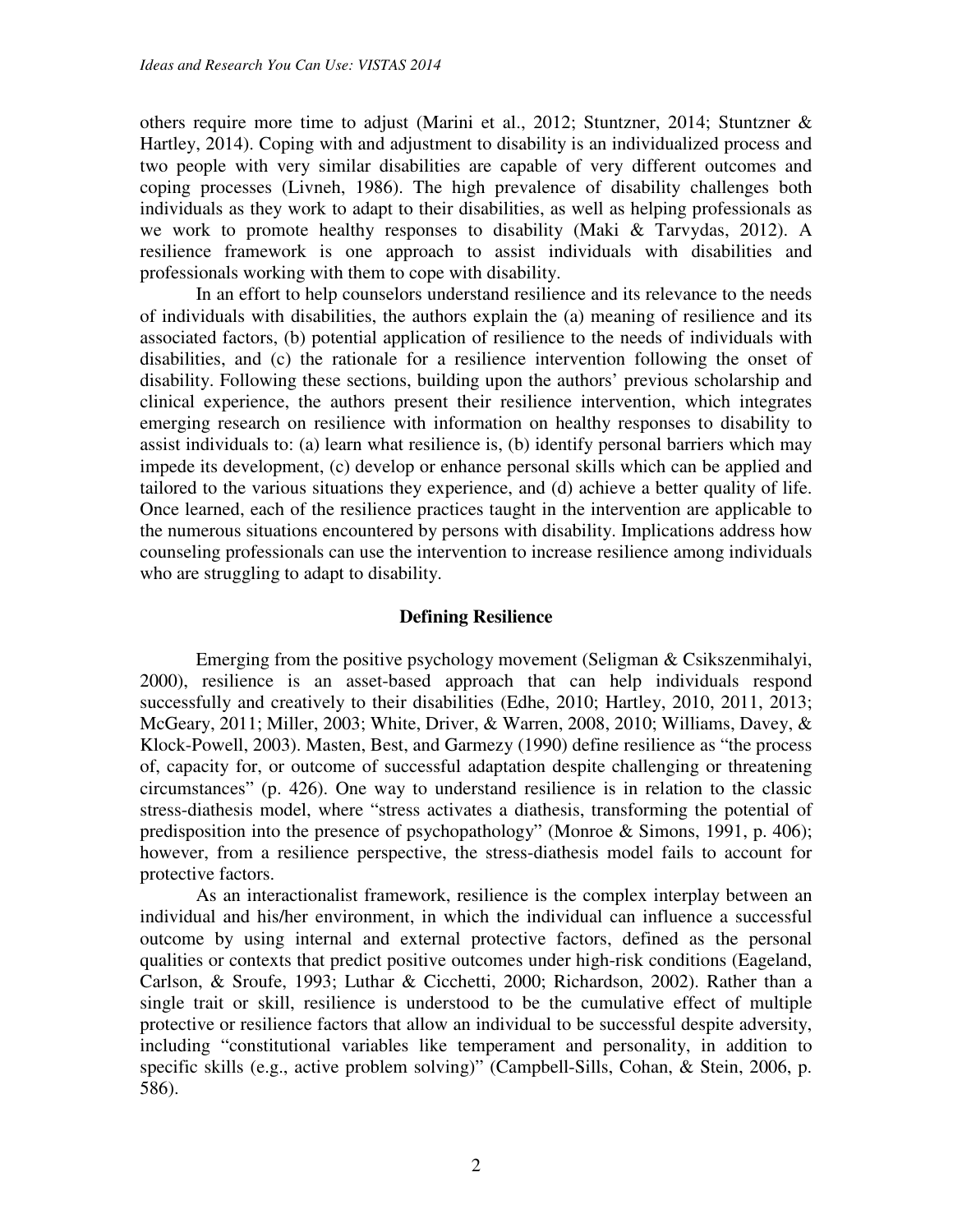others require more time to adjust (Marini et al., 2012; Stuntzner, 2014; Stuntzner & Hartley, 2014). Coping with and adjustment to disability is an individualized process and two people with very similar disabilities are capable of very different outcomes and coping processes (Livneh, 1986). The high prevalence of disability challenges both individuals as they work to adapt to their disabilities, as well as helping professionals as we work to promote healthy responses to disability (Maki & Tarvydas, 2012). A resilience framework is one approach to assist individuals with disabilities and professionals working with them to cope with disability.

In an effort to help counselors understand resilience and its relevance to the needs of individuals with disabilities, the authors explain the (a) meaning of resilience and its associated factors, (b) potential application of resilience to the needs of individuals with disabilities, and (c) the rationale for a resilience intervention following the onset of disability. Following these sections, building upon the authors' previous scholarship and clinical experience, the authors present their resilience intervention, which integrates emerging research on resilience with information on healthy responses to disability to assist individuals to: (a) learn what resilience is, (b) identify personal barriers which may impede its development, (c) develop or enhance personal skills which can be applied and tailored to the various situations they experience, and (d) achieve a better quality of life. Once learned, each of the resilience practices taught in the intervention are applicable to the numerous situations encountered by persons with disability. Implications address how counseling professionals can use the intervention to increase resilience among individuals who are struggling to adapt to disability.

# **Defining Resilience**

Emerging from the positive psychology movement (Seligman & Csikszenmihalyi, 2000), resilience is an asset-based approach that can help individuals respond successfully and creatively to their disabilities (Edhe, 2010; Hartley, 2010, 2011, 2013; McGeary, 2011; Miller, 2003; White, Driver, & Warren, 2008, 2010; Williams, Davey, & Klock-Powell, 2003). Masten, Best, and Garmezy (1990) define resilience as "the process of, capacity for, or outcome of successful adaptation despite challenging or threatening circumstances" (p. 426). One way to understand resilience is in relation to the classic stress-diathesis model, where "stress activates a diathesis, transforming the potential of predisposition into the presence of psychopathology" (Monroe & Simons, 1991, p. 406); however, from a resilience perspective, the stress-diathesis model fails to account for protective factors.

As an interactionalist framework, resilience is the complex interplay between an individual and his/her environment, in which the individual can influence a successful outcome by using internal and external protective factors, defined as the personal qualities or contexts that predict positive outcomes under high-risk conditions (Eageland, Carlson, & Sroufe, 1993; Luthar & Cicchetti, 2000; Richardson, 2002). Rather than a single trait or skill, resilience is understood to be the cumulative effect of multiple protective or resilience factors that allow an individual to be successful despite adversity, including "constitutional variables like temperament and personality, in addition to specific skills (e.g., active problem solving)" (Campbell-Sills, Cohan, & Stein, 2006, p. 586).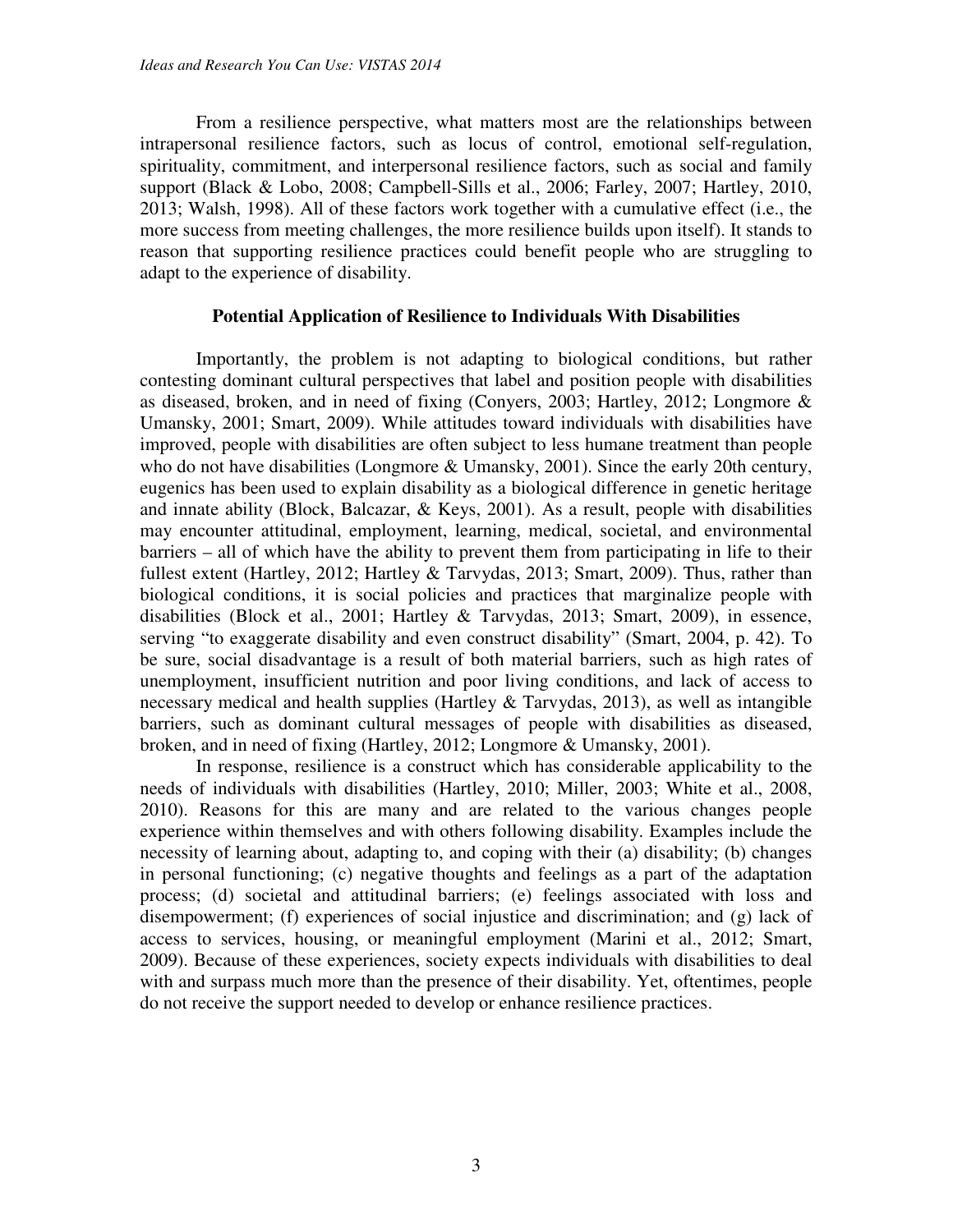From a resilience perspective, what matters most are the relationships between intrapersonal resilience factors, such as locus of control, emotional self-regulation, spirituality, commitment, and interpersonal resilience factors, such as social and family support (Black & Lobo, 2008; Campbell-Sills et al., 2006; Farley, 2007; Hartley, 2010, 2013; Walsh, 1998). All of these factors work together with a cumulative effect (i.e., the more success from meeting challenges, the more resilience builds upon itself). It stands to reason that supporting resilience practices could benefit people who are struggling to adapt to the experience of disability.

#### **Potential Application of Resilience to Individuals With Disabilities**

Importantly, the problem is not adapting to biological conditions, but rather contesting dominant cultural perspectives that label and position people with disabilities as diseased, broken, and in need of fixing (Conyers, 2003; Hartley, 2012; Longmore & Umansky, 2001; Smart, 2009). While attitudes toward individuals with disabilities have improved, people with disabilities are often subject to less humane treatment than people who do not have disabilities (Longmore & Umansky, 2001). Since the early 20th century, eugenics has been used to explain disability as a biological difference in genetic heritage and innate ability (Block, Balcazar, & Keys, 2001). As a result, people with disabilities may encounter attitudinal, employment, learning, medical, societal, and environmental barriers – all of which have the ability to prevent them from participating in life to their fullest extent (Hartley, 2012; Hartley & Tarvydas, 2013; Smart, 2009). Thus, rather than biological conditions, it is social policies and practices that marginalize people with disabilities (Block et al., 2001; Hartley & Tarvydas, 2013; Smart, 2009), in essence, serving "to exaggerate disability and even construct disability" (Smart, 2004, p. 42). To be sure, social disadvantage is a result of both material barriers, such as high rates of unemployment, insufficient nutrition and poor living conditions, and lack of access to necessary medical and health supplies (Hartley  $&$  Tarvydas, 2013), as well as intangible barriers, such as dominant cultural messages of people with disabilities as diseased, broken, and in need of fixing (Hartley, 2012; Longmore & Umansky, 2001).

In response, resilience is a construct which has considerable applicability to the needs of individuals with disabilities (Hartley, 2010; Miller, 2003; White et al., 2008, 2010). Reasons for this are many and are related to the various changes people experience within themselves and with others following disability. Examples include the necessity of learning about, adapting to, and coping with their (a) disability; (b) changes in personal functioning; (c) negative thoughts and feelings as a part of the adaptation process; (d) societal and attitudinal barriers; (e) feelings associated with loss and disempowerment; (f) experiences of social injustice and discrimination; and (g) lack of access to services, housing, or meaningful employment (Marini et al., 2012; Smart, 2009). Because of these experiences, society expects individuals with disabilities to deal with and surpass much more than the presence of their disability. Yet, oftentimes, people do not receive the support needed to develop or enhance resilience practices.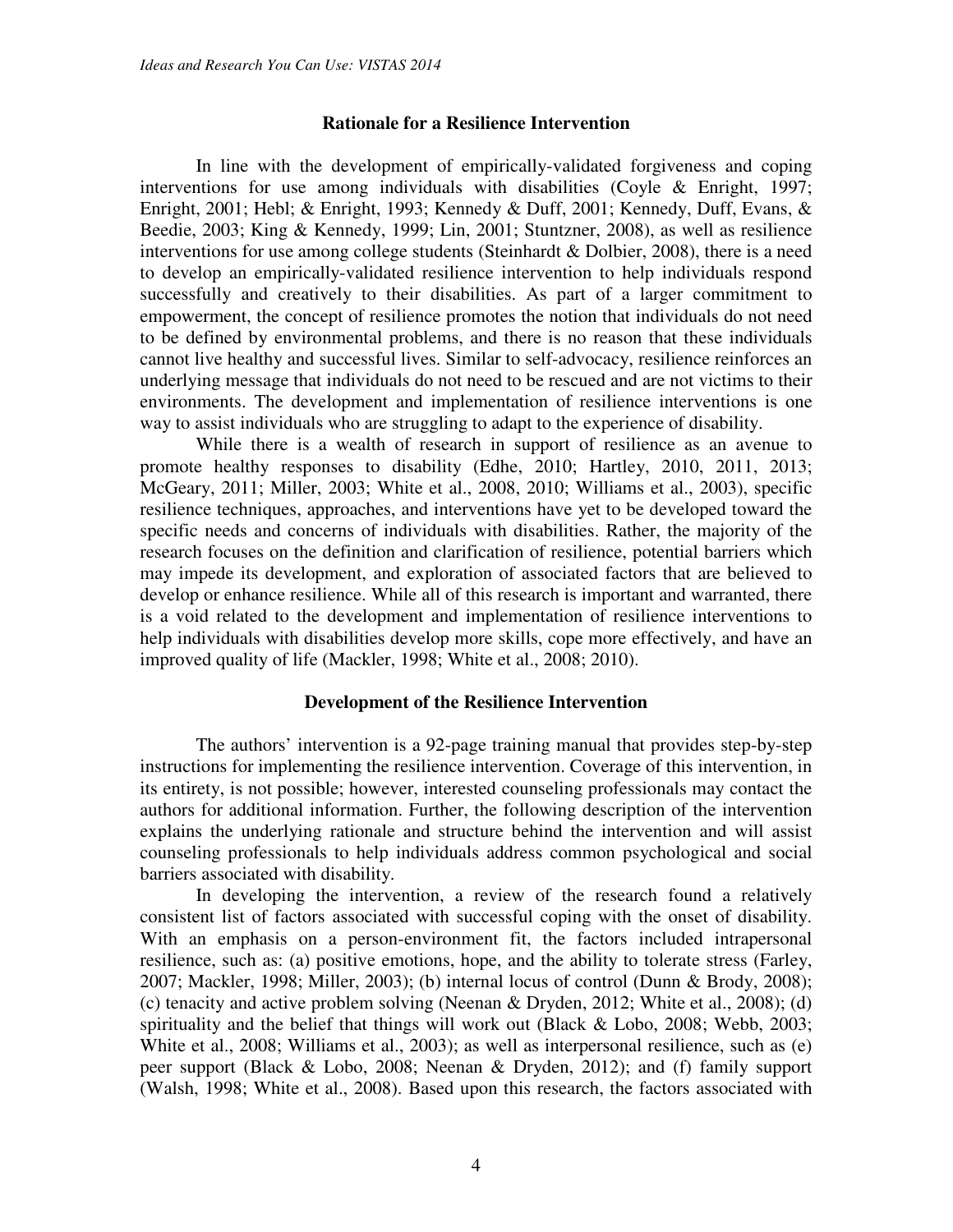#### **Rationale for a Resilience Intervention**

In line with the development of empirically-validated forgiveness and coping interventions for use among individuals with disabilities (Coyle & Enright, 1997; Enright, 2001; Hebl; & Enright, 1993; Kennedy & Duff, 2001; Kennedy, Duff, Evans, & Beedie, 2003; King & Kennedy, 1999; Lin, 2001; Stuntzner, 2008), as well as resilience interventions for use among college students (Steinhardt & Dolbier, 2008), there is a need to develop an empirically-validated resilience intervention to help individuals respond successfully and creatively to their disabilities. As part of a larger commitment to empowerment, the concept of resilience promotes the notion that individuals do not need to be defined by environmental problems, and there is no reason that these individuals cannot live healthy and successful lives. Similar to self-advocacy, resilience reinforces an underlying message that individuals do not need to be rescued and are not victims to their environments. The development and implementation of resilience interventions is one way to assist individuals who are struggling to adapt to the experience of disability.

While there is a wealth of research in support of resilience as an avenue to promote healthy responses to disability (Edhe, 2010; Hartley, 2010, 2011, 2013; McGeary, 2011; Miller, 2003; White et al., 2008, 2010; Williams et al., 2003), specific resilience techniques, approaches, and interventions have yet to be developed toward the specific needs and concerns of individuals with disabilities. Rather, the majority of the research focuses on the definition and clarification of resilience, potential barriers which may impede its development, and exploration of associated factors that are believed to develop or enhance resilience. While all of this research is important and warranted, there is a void related to the development and implementation of resilience interventions to help individuals with disabilities develop more skills, cope more effectively, and have an improved quality of life (Mackler, 1998; White et al., 2008; 2010).

#### **Development of the Resilience Intervention**

The authors' intervention is a 92-page training manual that provides step-by-step instructions for implementing the resilience intervention. Coverage of this intervention, in its entirety, is not possible; however, interested counseling professionals may contact the authors for additional information. Further, the following description of the intervention explains the underlying rationale and structure behind the intervention and will assist counseling professionals to help individuals address common psychological and social barriers associated with disability.

In developing the intervention, a review of the research found a relatively consistent list of factors associated with successful coping with the onset of disability. With an emphasis on a person-environment fit, the factors included intrapersonal resilience, such as: (a) positive emotions, hope, and the ability to tolerate stress (Farley, 2007; Mackler, 1998; Miller, 2003); (b) internal locus of control (Dunn & Brody, 2008); (c) tenacity and active problem solving (Neenan & Dryden, 2012; White et al., 2008); (d) spirituality and the belief that things will work out (Black & Lobo, 2008; Webb, 2003; White et al., 2008; Williams et al., 2003); as well as interpersonal resilience, such as (e) peer support (Black & Lobo, 2008; Neenan & Dryden, 2012); and (f) family support (Walsh, 1998; White et al., 2008). Based upon this research, the factors associated with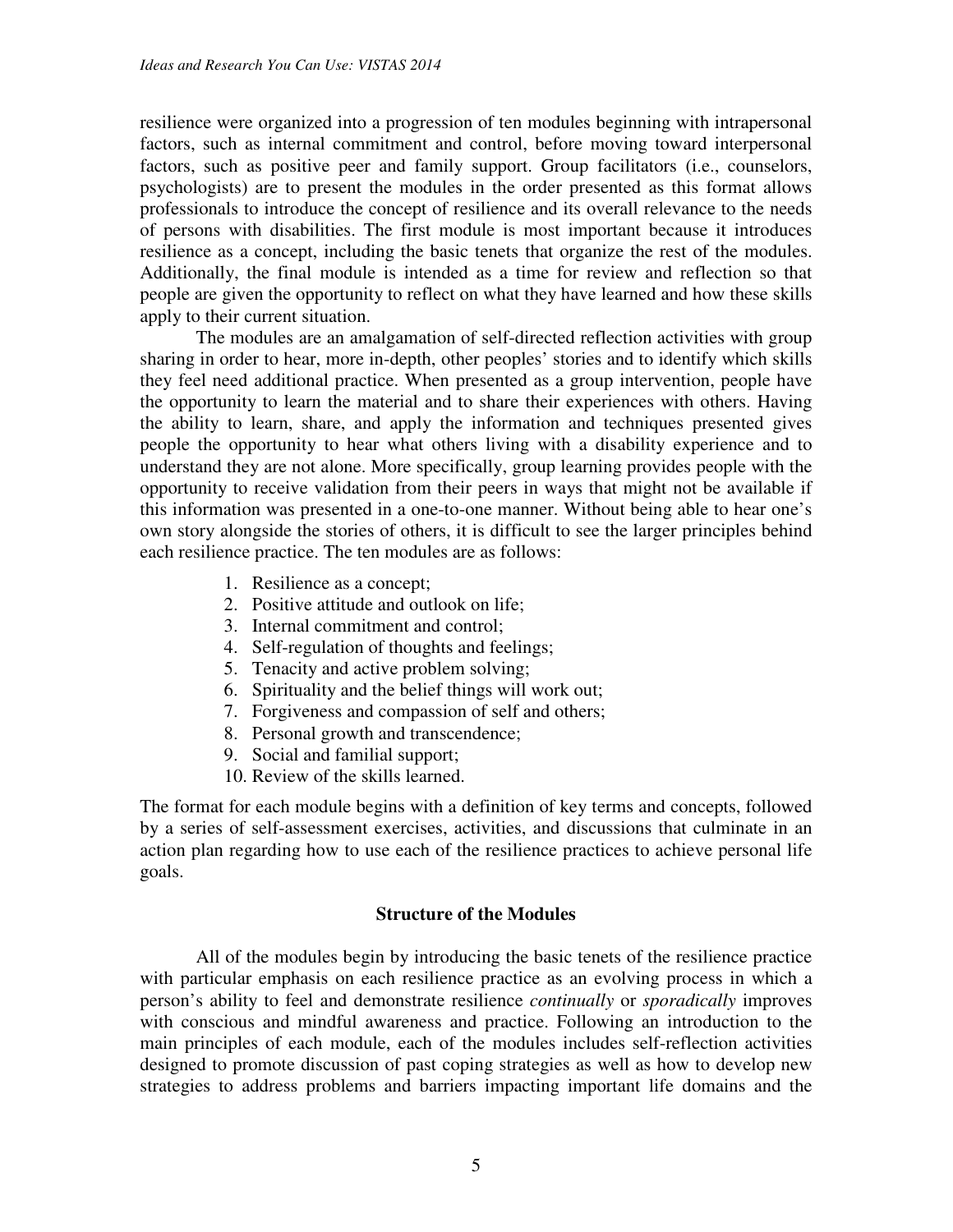resilience were organized into a progression of ten modules beginning with intrapersonal factors, such as internal commitment and control, before moving toward interpersonal factors, such as positive peer and family support. Group facilitators (i.e., counselors, psychologists) are to present the modules in the order presented as this format allows professionals to introduce the concept of resilience and its overall relevance to the needs of persons with disabilities. The first module is most important because it introduces resilience as a concept, including the basic tenets that organize the rest of the modules. Additionally, the final module is intended as a time for review and reflection so that people are given the opportunity to reflect on what they have learned and how these skills apply to their current situation.

The modules are an amalgamation of self-directed reflection activities with group sharing in order to hear, more in-depth, other peoples' stories and to identify which skills they feel need additional practice. When presented as a group intervention, people have the opportunity to learn the material and to share their experiences with others. Having the ability to learn, share, and apply the information and techniques presented gives people the opportunity to hear what others living with a disability experience and to understand they are not alone. More specifically, group learning provides people with the opportunity to receive validation from their peers in ways that might not be available if this information was presented in a one-to-one manner. Without being able to hear one's own story alongside the stories of others, it is difficult to see the larger principles behind each resilience practice. The ten modules are as follows:

- 1. Resilience as a concept;
- 2. Positive attitude and outlook on life;
- 3. Internal commitment and control;
- 4. Self-regulation of thoughts and feelings;
- 5. Tenacity and active problem solving;
- 6. Spirituality and the belief things will work out;
- 7. Forgiveness and compassion of self and others;
- 8. Personal growth and transcendence;
- 9. Social and familial support;
- 10. Review of the skills learned.

The format for each module begins with a definition of key terms and concepts, followed by a series of self-assessment exercises, activities, and discussions that culminate in an action plan regarding how to use each of the resilience practices to achieve personal life goals.

# **Structure of the Modules**

All of the modules begin by introducing the basic tenets of the resilience practice with particular emphasis on each resilience practice as an evolving process in which a person's ability to feel and demonstrate resilience *continually* or *sporadically* improves with conscious and mindful awareness and practice. Following an introduction to the main principles of each module, each of the modules includes self-reflection activities designed to promote discussion of past coping strategies as well as how to develop new strategies to address problems and barriers impacting important life domains and the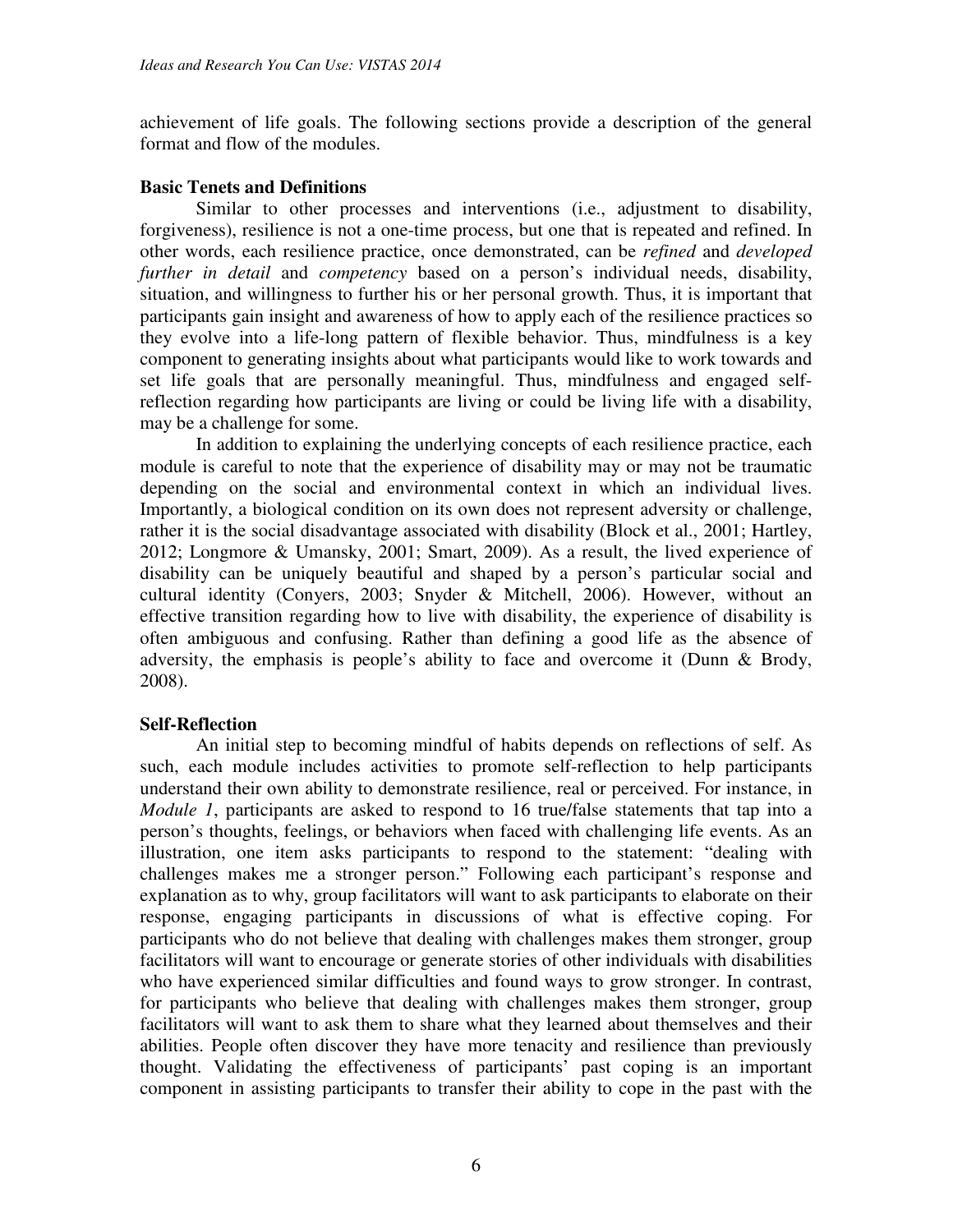achievement of life goals. The following sections provide a description of the general format and flow of the modules.

# **Basic Tenets and Definitions**

Similar to other processes and interventions (i.e., adjustment to disability, forgiveness), resilience is not a one-time process, but one that is repeated and refined. In other words, each resilience practice, once demonstrated, can be *refined* and *developed further in detail* and *competency* based on a person's individual needs, disability, situation, and willingness to further his or her personal growth. Thus, it is important that participants gain insight and awareness of how to apply each of the resilience practices so they evolve into a life-long pattern of flexible behavior. Thus, mindfulness is a key component to generating insights about what participants would like to work towards and set life goals that are personally meaningful. Thus, mindfulness and engaged selfreflection regarding how participants are living or could be living life with a disability, may be a challenge for some.

In addition to explaining the underlying concepts of each resilience practice, each module is careful to note that the experience of disability may or may not be traumatic depending on the social and environmental context in which an individual lives. Importantly, a biological condition on its own does not represent adversity or challenge, rather it is the social disadvantage associated with disability (Block et al., 2001; Hartley, 2012; Longmore & Umansky, 2001; Smart, 2009). As a result, the lived experience of disability can be uniquely beautiful and shaped by a person's particular social and cultural identity (Conyers, 2003; Snyder & Mitchell, 2006). However, without an effective transition regarding how to live with disability, the experience of disability is often ambiguous and confusing. Rather than defining a good life as the absence of adversity, the emphasis is people's ability to face and overcome it (Dunn & Brody, 2008).

# **Self-Reflection**

An initial step to becoming mindful of habits depends on reflections of self. As such, each module includes activities to promote self-reflection to help participants understand their own ability to demonstrate resilience, real or perceived. For instance, in *Module 1*, participants are asked to respond to 16 true/false statements that tap into a person's thoughts, feelings, or behaviors when faced with challenging life events. As an illustration, one item asks participants to respond to the statement: "dealing with challenges makes me a stronger person." Following each participant's response and explanation as to why, group facilitators will want to ask participants to elaborate on their response, engaging participants in discussions of what is effective coping. For participants who do not believe that dealing with challenges makes them stronger, group facilitators will want to encourage or generate stories of other individuals with disabilities who have experienced similar difficulties and found ways to grow stronger. In contrast, for participants who believe that dealing with challenges makes them stronger, group facilitators will want to ask them to share what they learned about themselves and their abilities. People often discover they have more tenacity and resilience than previously thought. Validating the effectiveness of participants' past coping is an important component in assisting participants to transfer their ability to cope in the past with the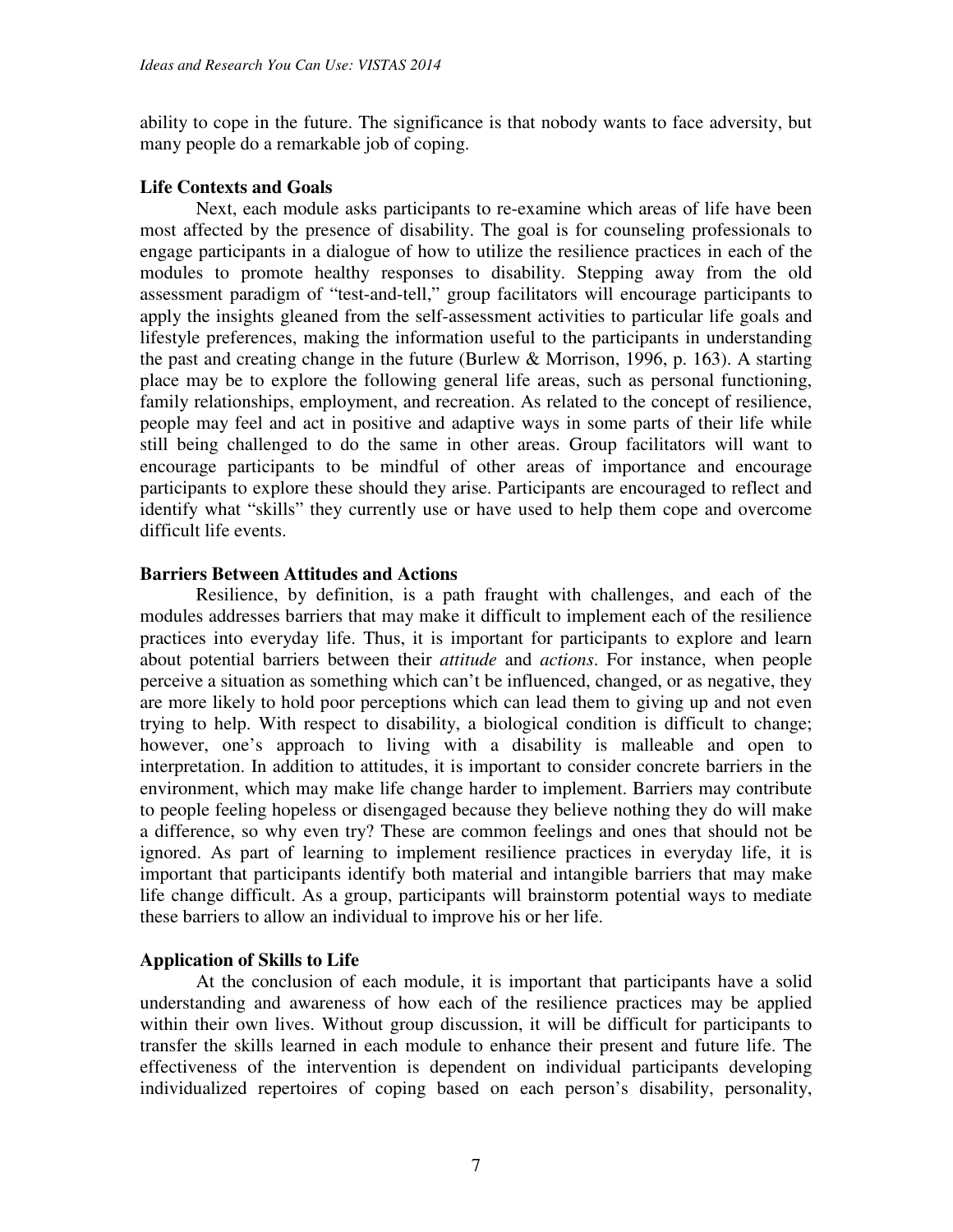ability to cope in the future. The significance is that nobody wants to face adversity, but many people do a remarkable job of coping.

# **Life Contexts and Goals**

Next, each module asks participants to re-examine which areas of life have been most affected by the presence of disability. The goal is for counseling professionals to engage participants in a dialogue of how to utilize the resilience practices in each of the modules to promote healthy responses to disability. Stepping away from the old assessment paradigm of "test-and-tell," group facilitators will encourage participants to apply the insights gleaned from the self-assessment activities to particular life goals and lifestyle preferences, making the information useful to the participants in understanding the past and creating change in the future (Burlew & Morrison, 1996, p. 163). A starting place may be to explore the following general life areas, such as personal functioning, family relationships, employment, and recreation. As related to the concept of resilience, people may feel and act in positive and adaptive ways in some parts of their life while still being challenged to do the same in other areas. Group facilitators will want to encourage participants to be mindful of other areas of importance and encourage participants to explore these should they arise. Participants are encouraged to reflect and identify what "skills" they currently use or have used to help them cope and overcome difficult life events.

# **Barriers Between Attitudes and Actions**

Resilience, by definition, is a path fraught with challenges, and each of the modules addresses barriers that may make it difficult to implement each of the resilience practices into everyday life. Thus, it is important for participants to explore and learn about potential barriers between their *attitude* and *actions*. For instance, when people perceive a situation as something which can't be influenced, changed, or as negative, they are more likely to hold poor perceptions which can lead them to giving up and not even trying to help. With respect to disability, a biological condition is difficult to change; however, one's approach to living with a disability is malleable and open to interpretation. In addition to attitudes, it is important to consider concrete barriers in the environment, which may make life change harder to implement. Barriers may contribute to people feeling hopeless or disengaged because they believe nothing they do will make a difference, so why even try? These are common feelings and ones that should not be ignored. As part of learning to implement resilience practices in everyday life, it is important that participants identify both material and intangible barriers that may make life change difficult. As a group, participants will brainstorm potential ways to mediate these barriers to allow an individual to improve his or her life.

# **Application of Skills to Life**

At the conclusion of each module, it is important that participants have a solid understanding and awareness of how each of the resilience practices may be applied within their own lives. Without group discussion, it will be difficult for participants to transfer the skills learned in each module to enhance their present and future life. The effectiveness of the intervention is dependent on individual participants developing individualized repertoires of coping based on each person's disability, personality,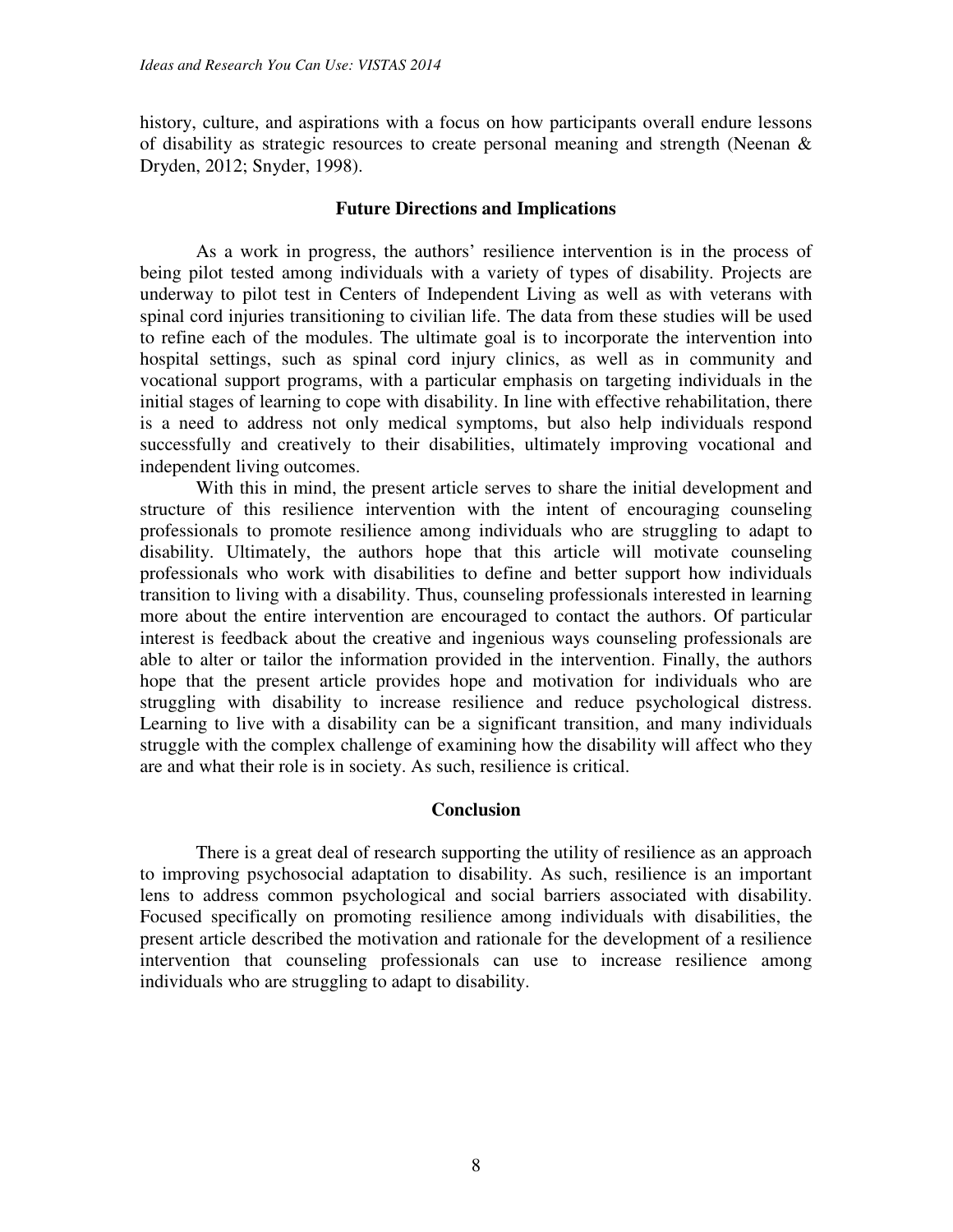history, culture, and aspirations with a focus on how participants overall endure lessons of disability as strategic resources to create personal meaning and strength (Neenan & Dryden, 2012; Snyder, 1998).

#### **Future Directions and Implications**

As a work in progress, the authors' resilience intervention is in the process of being pilot tested among individuals with a variety of types of disability. Projects are underway to pilot test in Centers of Independent Living as well as with veterans with spinal cord injuries transitioning to civilian life. The data from these studies will be used to refine each of the modules. The ultimate goal is to incorporate the intervention into hospital settings, such as spinal cord injury clinics, as well as in community and vocational support programs, with a particular emphasis on targeting individuals in the initial stages of learning to cope with disability. In line with effective rehabilitation, there is a need to address not only medical symptoms, but also help individuals respond successfully and creatively to their disabilities, ultimately improving vocational and independent living outcomes.

With this in mind, the present article serves to share the initial development and structure of this resilience intervention with the intent of encouraging counseling professionals to promote resilience among individuals who are struggling to adapt to disability. Ultimately, the authors hope that this article will motivate counseling professionals who work with disabilities to define and better support how individuals transition to living with a disability. Thus, counseling professionals interested in learning more about the entire intervention are encouraged to contact the authors. Of particular interest is feedback about the creative and ingenious ways counseling professionals are able to alter or tailor the information provided in the intervention. Finally, the authors hope that the present article provides hope and motivation for individuals who are struggling with disability to increase resilience and reduce psychological distress. Learning to live with a disability can be a significant transition, and many individuals struggle with the complex challenge of examining how the disability will affect who they are and what their role is in society. As such, resilience is critical.

# **Conclusion**

There is a great deal of research supporting the utility of resilience as an approach to improving psychosocial adaptation to disability. As such, resilience is an important lens to address common psychological and social barriers associated with disability. Focused specifically on promoting resilience among individuals with disabilities, the present article described the motivation and rationale for the development of a resilience intervention that counseling professionals can use to increase resilience among individuals who are struggling to adapt to disability.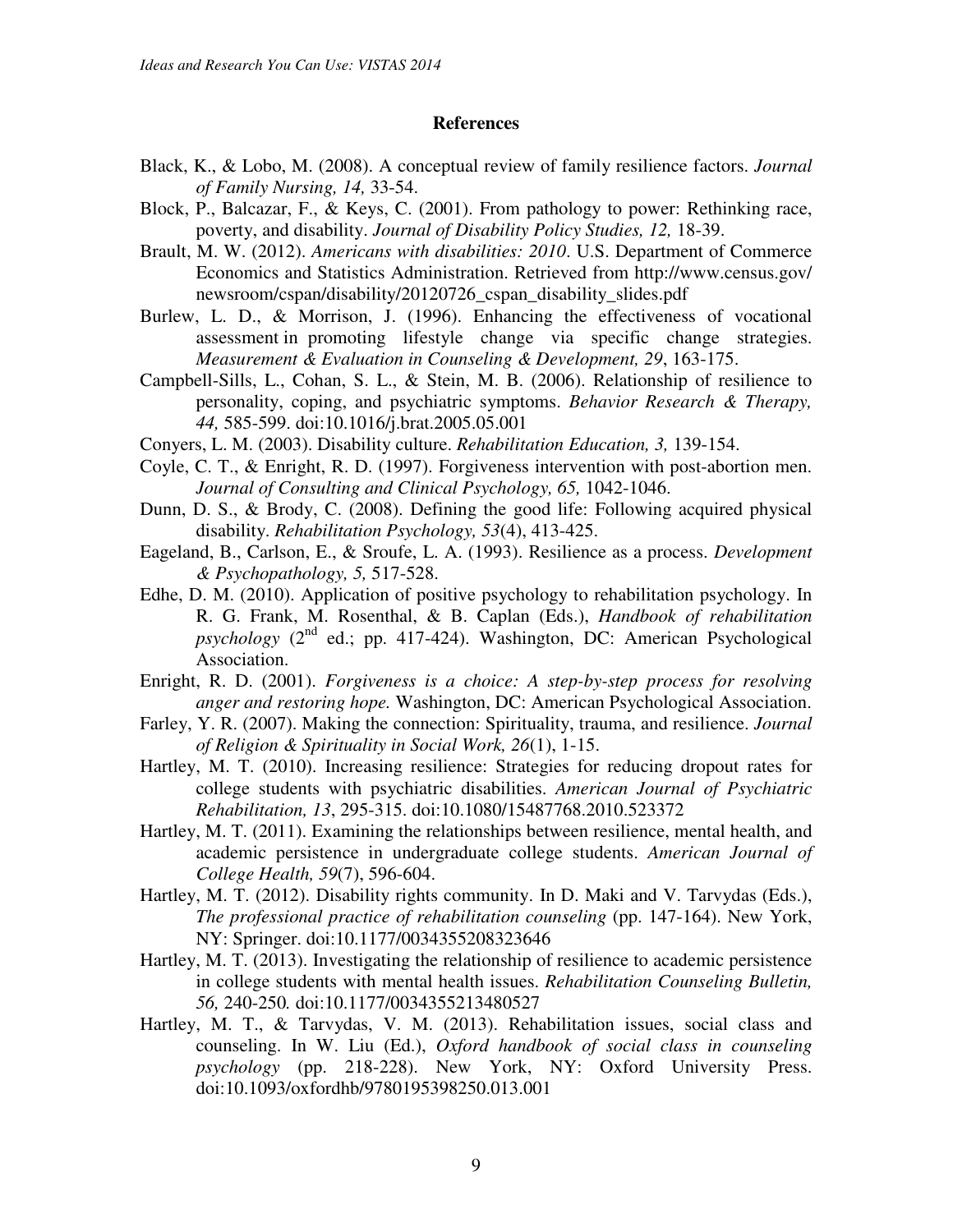#### **References**

- Black, K., & Lobo, M. (2008). A conceptual review of family resilience factors. *Journal of Family Nursing, 14,* 33-54.
- Block, P., Balcazar, F., & Keys, C. (2001). From pathology to power: Rethinking race, poverty, and disability. *Journal of Disability Policy Studies, 12,* 18-39.
- Brault, M. W. (2012). *Americans with disabilities: 2010*. U.S. Department of Commerce Economics and Statistics Administration. Retrieved from http://www.census.gov/ newsroom/cspan/disability/20120726\_cspan\_disability\_slides.pdf
- Burlew, L. D., & Morrison, J. (1996). Enhancing the effectiveness of vocational assessment in promoting lifestyle change via specific change strategies. *Measurement & Evaluation in Counseling & Development, 29*, 163-175.
- Campbell-Sills, L., Cohan, S. L., & Stein, M. B. (2006). Relationship of resilience to personality, coping, and psychiatric symptoms. *Behavior Research & Therapy, 44,* 585-599. doi:10.1016/j.brat.2005.05.001
- Conyers, L. M. (2003). Disability culture. *Rehabilitation Education, 3,* 139-154.
- Coyle, C. T., & Enright, R. D. (1997). Forgiveness intervention with post-abortion men. *Journal of Consulting and Clinical Psychology, 65,* 1042-1046.
- Dunn, D. S., & Brody, C. (2008). Defining the good life: Following acquired physical disability. *Rehabilitation Psychology, 53*(4), 413-425.
- Eageland, B., Carlson, E., & Sroufe, L. A. (1993). Resilience as a process. *Development & Psychopathology, 5,* 517-528.
- Edhe, D. M. (2010). Application of positive psychology to rehabilitation psychology. In R. G. Frank, M. Rosenthal, & B. Caplan (Eds.), *Handbook of rehabilitation*   $p$ sychology  $(2^{nd}$  ed.; pp. 417-424). Washington, DC: American Psychological Association.
- Enright, R. D. (2001). *Forgiveness is a choice: A step-by-step process for resolving anger and restoring hope.* Washington, DC: American Psychological Association.
- Farley, Y. R. (2007). Making the connection: Spirituality, trauma, and resilience. *Journal of Religion & Spirituality in Social Work, 26*(1), 1-15.
- Hartley, M. T. (2010). Increasing resilience: Strategies for reducing dropout rates for college students with psychiatric disabilities. *American Journal of Psychiatric Rehabilitation, 13*, 295-315. doi:10.1080/15487768.2010.523372
- Hartley, M. T. (2011). Examining the relationships between resilience, mental health, and academic persistence in undergraduate college students. *American Journal of College Health, 59*(7), 596-604.
- Hartley, M. T. (2012). Disability rights community. In D. Maki and V. Tarvydas (Eds.), *The professional practice of rehabilitation counseling (pp. 147-164). New York,* NY: Springer. doi:10.1177/0034355208323646
- Hartley, M. T. (2013). Investigating the relationship of resilience to academic persistence in college students with mental health issues. *Rehabilitation Counseling Bulletin, 56,* 240-250*.* doi:10.1177/0034355213480527
- Hartley, M. T., & Tarvydas, V. M. (2013). Rehabilitation issues, social class and counseling. In W. Liu (Ed.), *Oxford handbook of social class in counseling psychology* (pp. 218-228). New York, NY: Oxford University Press. doi:10.1093/oxfordhb/9780195398250.013.001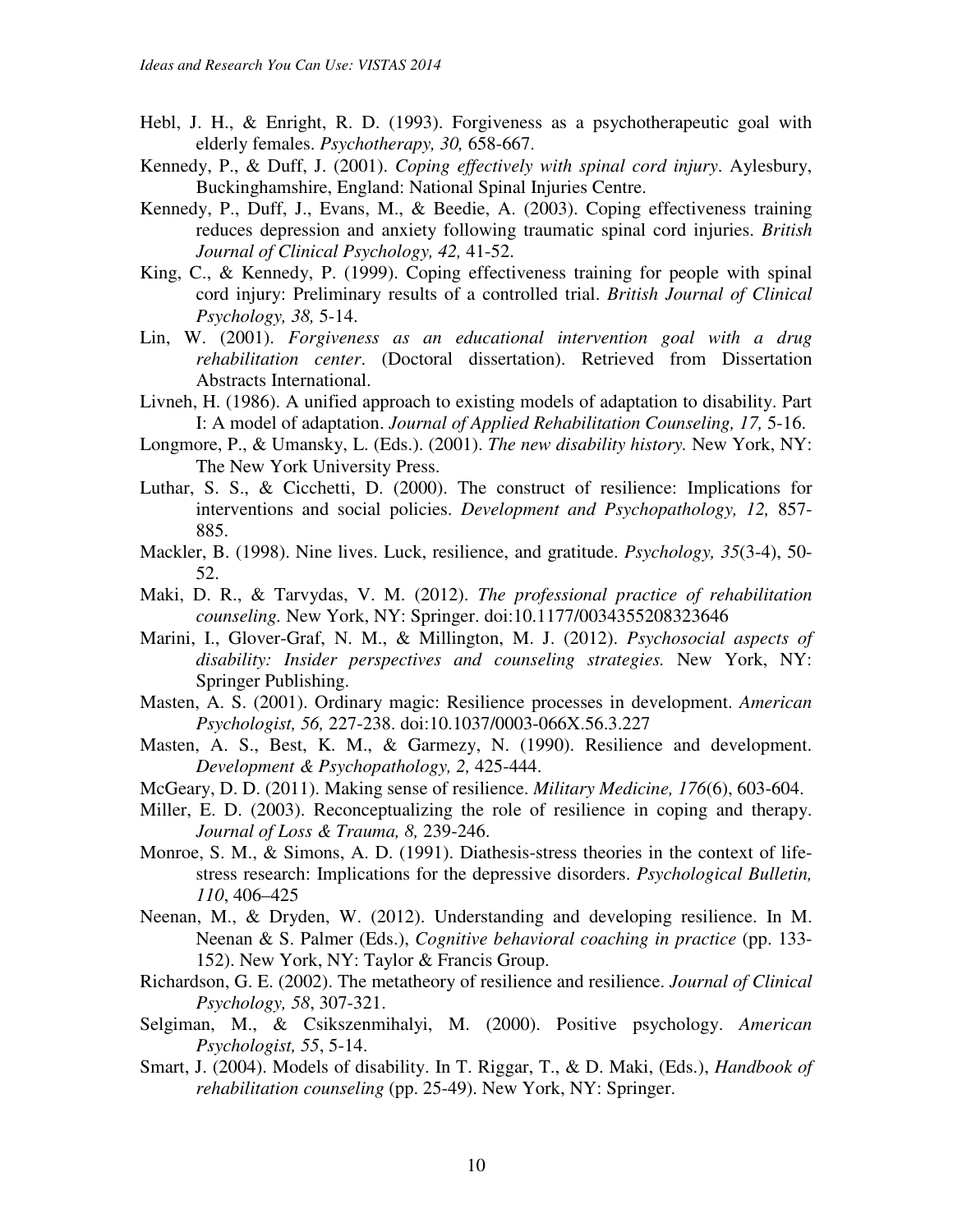- Hebl, J. H., & Enright, R. D. (1993). Forgiveness as a psychotherapeutic goal with elderly females. *Psychotherapy, 30,* 658-667.
- Kennedy, P., & Duff, J. (2001). *Coping effectively with spinal cord injury*. Aylesbury, Buckinghamshire, England: National Spinal Injuries Centre.
- Kennedy, P., Duff, J., Evans, M., & Beedie, A. (2003). Coping effectiveness training reduces depression and anxiety following traumatic spinal cord injuries. *British Journal of Clinical Psychology, 42,* 41-52.
- King, C., & Kennedy, P. (1999). Coping effectiveness training for people with spinal cord injury: Preliminary results of a controlled trial. *British Journal of Clinical Psychology, 38,* 5-14.
- Lin, W. (2001). *Forgiveness as an educational intervention goal with a drug rehabilitation center*. (Doctoral dissertation). Retrieved from Dissertation Abstracts International.
- Livneh, H. (1986). A unified approach to existing models of adaptation to disability. Part I: A model of adaptation. *Journal of Applied Rehabilitation Counseling, 17,* 5-16.
- Longmore, P., & Umansky, L. (Eds.). (2001). *The new disability history.* New York, NY: The New York University Press.
- Luthar, S. S., & Cicchetti, D. (2000). The construct of resilience: Implications for interventions and social policies. *Development and Psychopathology, 12,* 857- 885.
- Mackler, B. (1998). Nine lives. Luck, resilience, and gratitude. *Psychology, 35*(3-4), 50- 52.
- Maki, D. R., & Tarvydas, V. M. (2012). *The professional practice of rehabilitation counseling.* New York, NY: Springer. doi:10.1177/0034355208323646
- Marini, I., Glover-Graf, N. M., & Millington, M. J. (2012). *Psychosocial aspects of disability: Insider perspectives and counseling strategies.* New York, NY: Springer Publishing.
- Masten, A. S. (2001). Ordinary magic: Resilience processes in development. *American Psychologist, 56,* 227-238. doi:10.1037/0003-066X.56.3.227
- Masten, A. S., Best, K. M., & Garmezy, N. (1990). Resilience and development. *Development & Psychopathology, 2,* 425-444.
- McGeary, D. D. (2011). Making sense of resilience. *Military Medicine, 176*(6), 603-604.
- Miller, E. D. (2003). Reconceptualizing the role of resilience in coping and therapy. *Journal of Loss & Trauma, 8,* 239-246.
- Monroe, S. M., & Simons, A. D. (1991). Diathesis-stress theories in the context of lifestress research: Implications for the depressive disorders. *Psychological Bulletin, 110*, 406–425
- Neenan, M., & Dryden, W. (2012). Understanding and developing resilience. In M. Neenan & S. Palmer (Eds.), *Cognitive behavioral coaching in practice* (pp. 133- 152). New York, NY: Taylor & Francis Group.
- Richardson, G. E. (2002). The metatheory of resilience and resilience. *Journal of Clinical Psychology, 58*, 307-321.
- Selgiman, M., & Csikszenmihalyi, M. (2000). Positive psychology. *American Psychologist, 55*, 5-14.
- Smart, J. (2004). Models of disability. In T. Riggar, T., & D. Maki, (Eds.), *Handbook of rehabilitation counseling* (pp. 25-49). New York, NY: Springer.